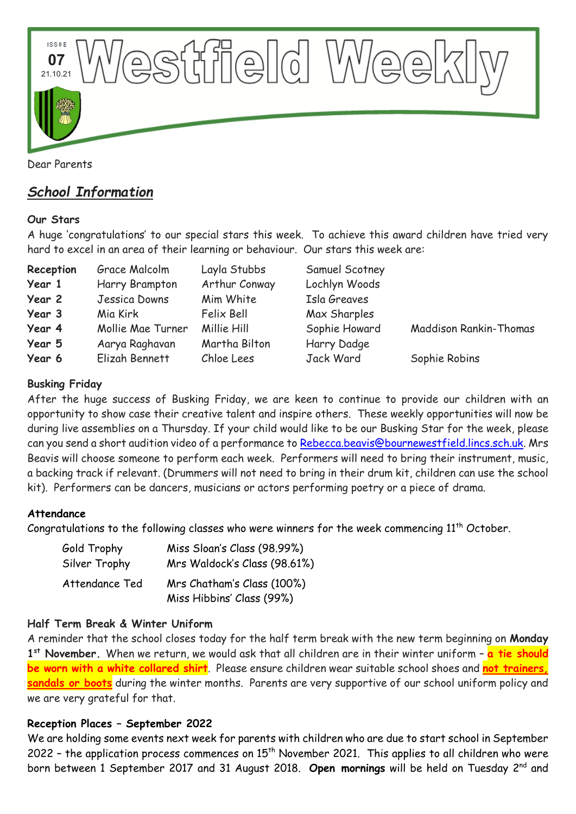

# *School Information*

#### **Our Stars**

A huge 'congratulations' to our special stars this week. To achieve this award children have tried very hard to excel in an area of their learning or behaviour. Our stars this week are:

| Reception | Grace Malcolm     | Layla Stubbs  | Samuel Scotney |                               |
|-----------|-------------------|---------------|----------------|-------------------------------|
| Year 1    | Harry Brampton    | Arthur Conway | Lochlyn Woods  |                               |
| Year 2    | Jessica Downs     | Mim White     | Isla Greaves   |                               |
| Year 3    | Mia Kirk          | Felix Bell    | Max Sharples   |                               |
| Year 4    | Mollie Mae Turner | Millie Hill   | Sophie Howard  | <b>Maddison Rankin-Thomas</b> |
| Year 5    | Aarya Raghavan    | Martha Bilton | Harry Dadge    |                               |
| Year 6    | Elizah Bennett    | Chloe Lees    | Jack Ward      | Sophie Robins                 |

## **Busking Friday**

After the huge success of Busking Friday, we are keen to continue to provide our children with an opportunity to show case their creative talent and inspire others. These weekly opportunities will now be during live assemblies on a Thursday. If your child would like to be our Busking Star for the week, please can you send a short audition video of a performance to [Rebecca.beavis@bournewestfield.lincs.sch.uk.](mailto:Rebecca.beavis@bournewestfield.lincs.sch.uk) Mrs Beavis will choose someone to perform each week. Performers will need to bring their instrument, music, a backing track if relevant. (Drummers will not need to bring in their drum kit, children can use the school kit). Performers can be dancers, musicians or actors performing poetry or a piece of drama.

#### **Attendance**

Congratulations to the following classes who were winners for the week commencing  $11<sup>th</sup>$  October.

| Gold Trophy    | Miss Sloan's Class (98.99%)                             |  |  |
|----------------|---------------------------------------------------------|--|--|
| Silver Trophy  | Mrs Waldock's Class (98.61%)                            |  |  |
| Attendance Ted | Mrs Chatham's Class (100%)<br>Miss Hibbins' Class (99%) |  |  |

## **Half Term Break & Winter Uniform**

A reminder that the school closes today for the half term break with the new term beginning on **Monday 1 st November.** When we return, we would ask that all children are in their winter uniform – **a tie should be worn with a white collared shirt**. Please ensure children wear suitable school shoes and **not trainers, sandals or boots** during the winter months. Parents are very supportive of our school uniform policy and we are very grateful for that.

## **Reception Places – September 2022**

We are holding some events next week for parents with children who are due to start school in September 2022 - the application process commences on  $15<sup>th</sup>$  November 2021. This applies to all children who were born between 1 September 2017 and 31 August 2018. **Open mornings** will be held on Tuesday 2<sup>nd</sup> and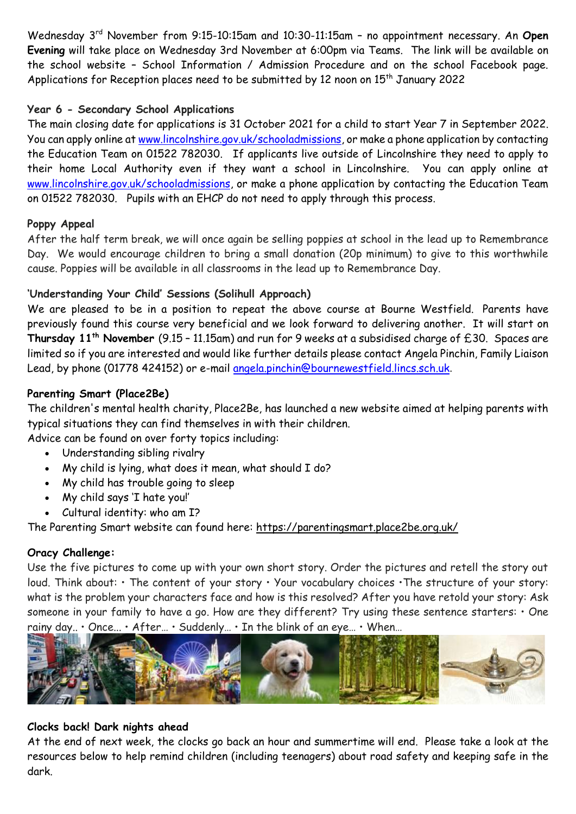Wednesday 3<sup>rd</sup> November from 9:15-10:15am and 10:30-11:15am - no appointment necessary. An Open **Evening** will take place on Wednesday 3rd November at 6:00pm via Teams. The link will be available on the school website – School Information / Admission Procedure and on the school Facebook page. Applications for Reception places need to be submitted by 12 noon on 15<sup>th</sup> January 2022

#### **Year 6 - Secondary School Applications**

The main closing date for applications is 31 October 2021 for a child to start Year 7 in September 2022. You can apply online at [www.lincolnshire.gov.uk/schooladmissions,](http://www.lincolnshire.gov.uk/schooladmissions) or make a phone application by contacting the Education Team on 01522 782030. If applicants live outside of Lincolnshire they need to apply to their home Local Authority even if they want a school in Lincolnshire. You can apply online at [www.lincolnshire.gov.uk/schooladmissions,](http://www.lincolnshire.gov.uk/schooladmissions) or make a phone application by contacting the Education Team on 01522 782030. Pupils with an EHCP do not need to apply through this process.

#### **Poppy Appeal**

After the half term break, we will once again be selling poppies at school in the lead up to Remembrance Day. We would encourage children to bring a small donation (20p minimum) to give to this worthwhile cause. Poppies will be available in all classrooms in the lead up to Remembrance Day.

## **'Understanding Your Child' Sessions (Solihull Approach)**

We are pleased to be in a position to repeat the above course at Bourne Westfield. Parents have previously found this course very beneficial and we look forward to delivering another. It will start on **Thursday 11th November** (9.15 – 11.15am) and run for 9 weeks at a subsidised charge of £30. Spaces are limited so if you are interested and would like further details please contact Angela Pinchin, Family Liaison Lead, by phone (01778 424152) or e-mail [angela.pinchin@bournewestfield.lincs.sch.uk](mailto:angela.pinchin@bournewestfield.lincs.sch.uk).

#### **Parenting Smart (Place2Be)**

The children's mental health charity, Place2Be, has launched a new website aimed at helping parents with typical situations they can find themselves in with their children.

Advice can be found on over forty topics including:

- Understanding sibling rivalry
- My child is lying, what does it mean, what should I do?
- My child has trouble going to sleep
- My child says 'I hate you!'
- Cultural identity: who am I?

The Parenting Smart website can found here: [https://parentingsmart.place2be.org.uk/](http://email.kjbm.safeguardinginschools.co.uk/c/eJwtkNtqwzAMhp8muRk1PjbJhS96hF3vAYoSK41bxza2s9G3nzsGQgh-ffpAuIJ1t_KKqC_v8ZgCmAlyafEvsUZzJnu-7yll7aIHRmVncFBCiVHsu4HWbhSCmGbAjrZOL6XE3IhDw6-1IiT0xfp7XiEVEh1MyEckId3J9qwL_yKDzn5jer2NUlDB1F4MtLWaU84YZT1VgkpGGLnKI-8ul7M4KdYd-aGR9PkYV5JhxvsGyVSZ9XlaQnCZTKFq2qTzAil4smxrXBK-cqXGsCWPP5jLbNEZ4qyfMqngmyj6yxb8-Dw3XNQPdIrRXvEWYrx5WFE_4QGj3eUSEs71csm7mILZpmKDb402Ug0j_QVcq3LQ)

#### **Oracy Challenge:**

Use the five pictures to come up with your own short story. Order the pictures and retell the story out loud. Think about: • The content of your story • Your vocabulary choices • The structure of your story: what is the problem your characters face and how is this resolved? After you have retold your story: Ask someone in your family to have a go. How are they different? Try using these sentence starters:  $\cdot$  One rainy day.. • Once... • After… • Suddenly… • In the blink of an eye… • When…



#### **Clocks back! Dark nights ahead**

At the end of next week, the clocks go back an hour and summertime will end. Please take a look at the resources below to help remind children (including teenagers) about road safety and keeping safe in the dark.